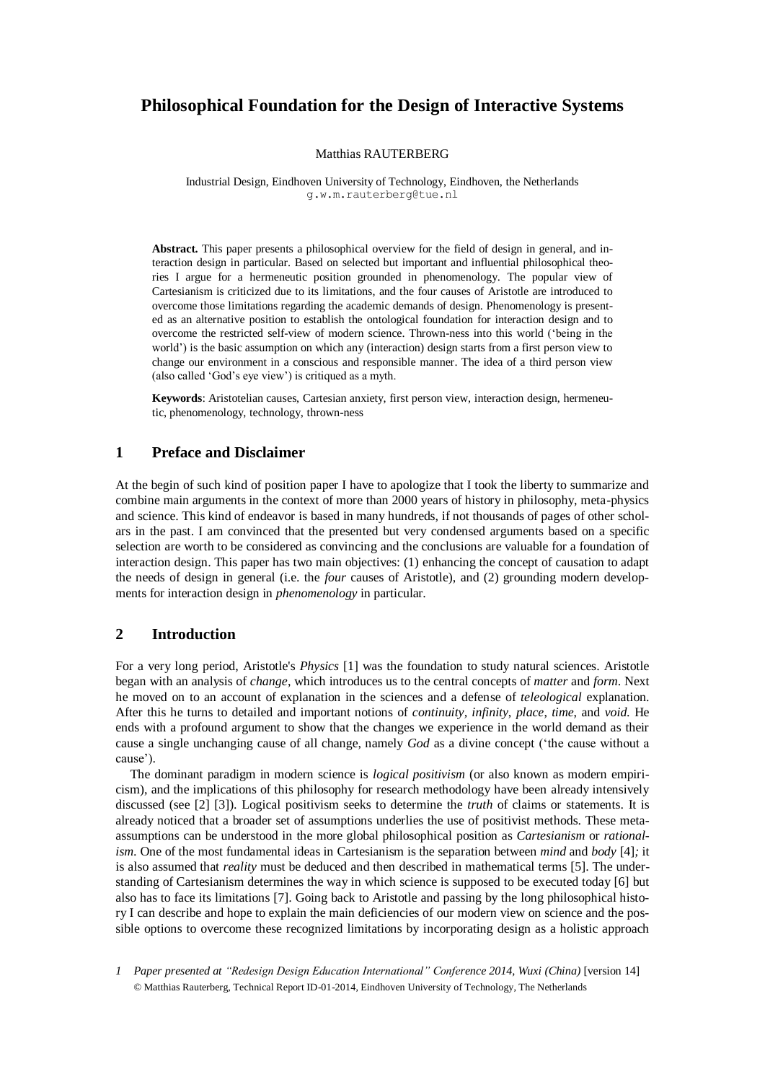# **Philosophical Foundation for the Design of Interactive Systems**

### Matthias RAUTERBERG

Industrial Design, Eindhoven University of Technology, Eindhoven, the Netherlands g.w.m.rauterberg@tue.nl

**Abstract.** This paper presents a philosophical overview for the field of design in general, and interaction design in particular. Based on selected but important and influential philosophical theories I argue for a hermeneutic position grounded in phenomenology. The popular view of Cartesianism is criticized due to its limitations, and the four causes of Aristotle are introduced to overcome those limitations regarding the academic demands of design. Phenomenology is presented as an alternative position to establish the ontological foundation for interaction design and to overcome the restricted self-view of modern science. Thrown-ness into this world ('being in the world') is the basic assumption on which any (interaction) design starts from a first person view to change our environment in a conscious and responsible manner. The idea of a third person view (also called 'God's eye view') is critiqued as a myth.

**Keywords**: Aristotelian causes, Cartesian anxiety, first person view, interaction design, hermeneutic, phenomenology, technology, thrown-ness

# **1 Preface and Disclaimer**

At the begin of such kind of position paper I have to apologize that I took the liberty to summarize and combine main arguments in the context of more than 2000 years of history in philosophy, meta-physics and science. This kind of endeavor is based in many hundreds, if not thousands of pages of other scholars in the past. I am convinced that the presented but very condensed arguments based on a specific selection are worth to be considered as convincing and the conclusions are valuable for a foundation of interaction design. This paper has two main objectives: (1) enhancing the concept of causation to adapt the needs of design in general (i.e. the *four* causes of Aristotle), and (2) grounding modern developments for interaction design in *phenomenology* in particular.

# **2 Introduction**

For a very long period, Aristotle's *Physics* [1] was the foundation to study natural sciences. Aristotle began with an analysis of *change*, which introduces us to the central concepts of *matter* and *form*. Next he moved on to an account of explanation in the sciences and a defense of *teleological* explanation. After this he turns to detailed and important notions of *continuity, infinity*, *place*, *time*, and *void*. He ends with a profound argument to show that the changes we experience in the world demand as their cause a single unchanging cause of all change, namely *God* as a divine concept ('the cause without a cause').

The dominant paradigm in modern science is *logical positivism* (or also known as modern empiricism), and the implications of this philosophy for research methodology have been already intensively discussed (see [2] [3]). Logical positivism seeks to determine the *truth* of claims or statements. It is already noticed that a broader set of assumptions underlies the use of positivist methods. These metaassumptions can be understood in the more global philosophical position as *Cartesianism* or *rationalism*. One of the most fundamental ideas in Cartesianism is the separation between *mind* and *body* [4]*;* it is also assumed that *reality* must be deduced and then described in mathematical terms [5]. The understanding of Cartesianism determines the way in which science is supposed to be executed today [6] but also has to face its limitations [7]. Going back to Aristotle and passing by the long philosophical history I can describe and hope to explain the main deficiencies of our modern view on science and the possible options to overcome these recognized limitations by incorporating design as a holistic approach

*1 Paper presented at "Redesign Design Education International" Conference 2014, Wuxi (China)* [version 14] © Matthias Rauterberg, Technical Report ID-01-2014, Eindhoven University of Technology, The Netherlands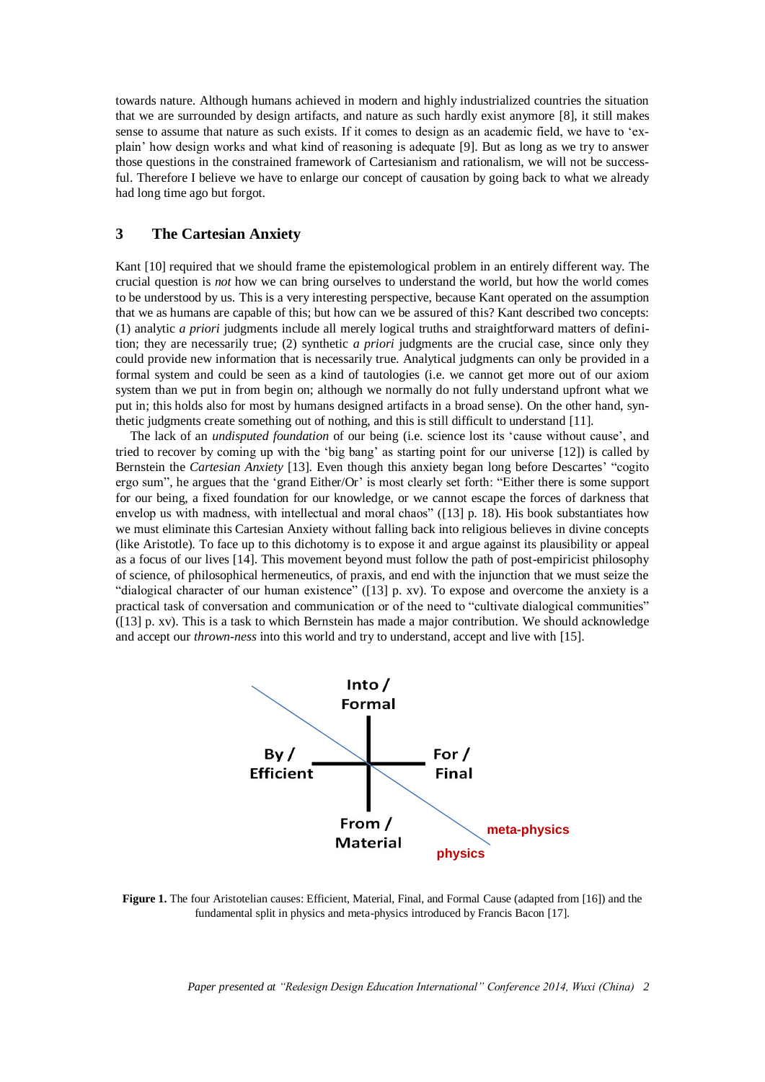towards nature. Although humans achieved in modern and highly industrialized countries the situation that we are surrounded by design artifacts, and nature as such hardly exist anymore [8], it still makes sense to assume that nature as such exists. If it comes to design as an academic field, we have to 'explain' how design works and what kind of reasoning is adequate [9]. But as long as we try to answer those questions in the constrained framework of Cartesianism and rationalism, we will not be successful. Therefore I believe we have to enlarge our concept of causation by going back to what we already had long time ago but forgot.

# **3 The Cartesian Anxiety**

Kant [10] required that we should frame the epistemological problem in an entirely different way. The crucial question is *not* how we can bring ourselves to understand the world, but how the world comes to be understood by us. This is a very interesting perspective, because Kant operated on the assumption that we as humans are capable of this; but how can we be assured of this? Kant described two concepts: (1) analytic *a priori* judgments include all merely logical truths and straightforward matters of definition; they are necessarily true; (2) synthetic *a priori* judgments are the crucial case, since only they could provide new information that is necessarily true. Analytical judgments can only be provided in a formal system and could be seen as a kind of tautologies (i.e. we cannot get more out of our axiom system than we put in from begin on; although we normally do not fully understand upfront what we put in; this holds also for most by humans designed artifacts in a broad sense). On the other hand, synthetic judgments create something out of nothing, and this is still difficult to understand [11].

The lack of an *undisputed foundation* of our being (i.e. science lost its 'cause without cause', and tried to recover by coming up with the 'big bang' as starting point for our universe [12]) is called by Bernstein the *Cartesian Anxiety* [13]. Even though this anxiety began long before Descartes' "cogito ergo sum", he argues that the 'grand Either/Or' is most clearly set forth: "Either there is some support for our being, a fixed foundation for our knowledge, or we cannot escape the forces of darkness that envelop us with madness, with intellectual and moral chaos" ([13] p. 18). His book substantiates how we must eliminate this Cartesian Anxiety without falling back into religious believes in divine concepts (like Aristotle). To face up to this dichotomy is to expose it and argue against its plausibility or appeal as a focus of our lives [14]. This movement beyond must follow the path of post-empiricist philosophy of science, of philosophical hermeneutics, of praxis, and end with the injunction that we must seize the "dialogical character of our human existence" ([13] p. xv). To expose and overcome the anxiety is a practical task of conversation and communication or of the need to "cultivate dialogical communities" ([13] p. xv). This is a task to which Bernstein has made a major contribution. We should acknowledge and accept our *thrown-ness* into this world and try to understand, accept and live with [15].



<span id="page-1-0"></span>**Figure 1.** The four Aristotelian causes: Efficient, Material, Final, and Formal Cause (adapted from [16]) and the fundamental split in physics and meta-physics introduced by Francis Bacon [17].

*Paper presented at "Redesign Design Education International" Conference 2014, Wuxi (China) 2*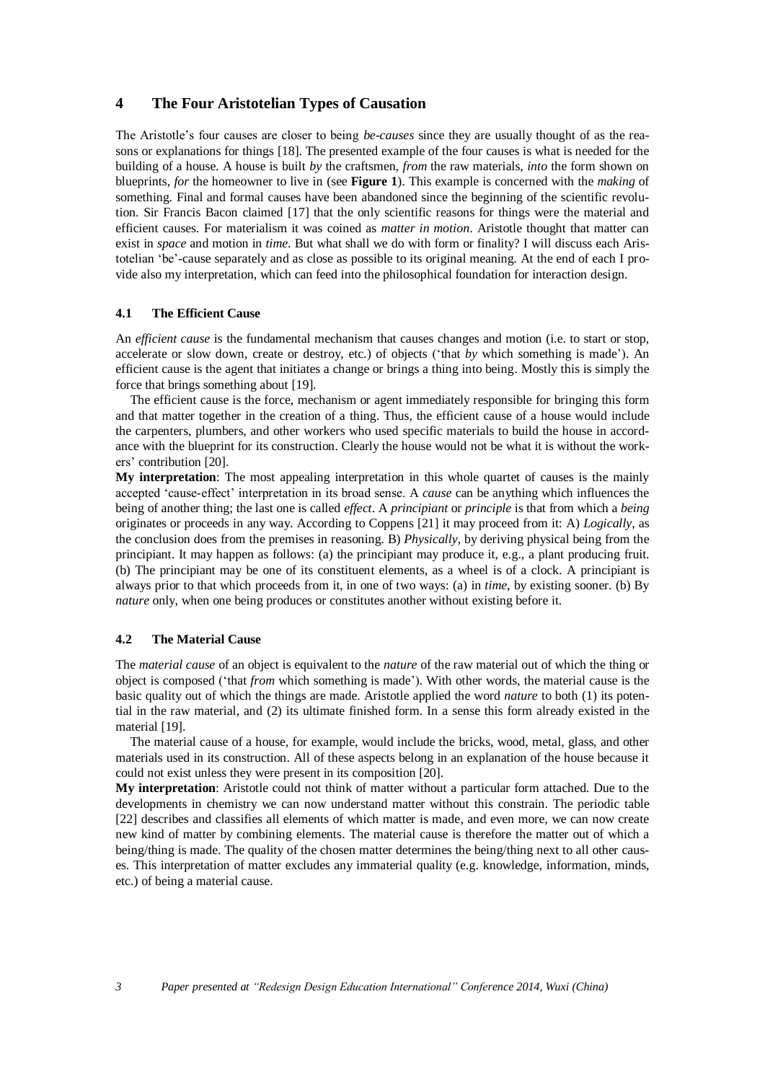# **4 The Four Aristotelian Types of Causation**

The Aristotle's four causes are closer to being *be-causes* since they are usually thought of as the reasons or explanations for things [18]. The presented example of the four causes is what is needed for the building of a house. A house is built *by* the craftsmen, *from* the raw materials, *into* the form shown on blueprints, *for* the homeowner to live in (see **[Figure](#page-1-0) 1**). This example is concerned with the *making* of something. Final and formal causes have been abandoned since the beginning of the scientific revolution. Sir Francis Bacon claimed [17] that the only scientific reasons for things were the material and efficient causes. For materialism it was coined as *matter in motion*. Aristotle thought that matter can exist in *space* and motion in *time*. But what shall we do with form or finality? I will discuss each Aristotelian 'be'-cause separately and as close as possible to its original meaning. At the end of each I provide also my interpretation, which can feed into the philosophical foundation for interaction design.

### **4.1 The Efficient Cause**

An *efficient cause* is the fundamental mechanism that causes changes and motion (i.e. to start or stop, accelerate or slow down, create or destroy, etc.) of objects ('that *by* which something is made'). An efficient cause is the agent that initiates a change or brings a thing into being. Mostly this is simply the force that brings something about [19].

The efficient cause is the force, mechanism or agent immediately responsible for bringing this form and that matter together in the creation of a thing. Thus, the efficient cause of a house would include the carpenters, plumbers, and other workers who used specific materials to build the house in accordance with the blueprint for its construction. Clearly the house would not be what it is without the workers' contribution [20].

**My interpretation**: The most appealing interpretation in this whole quartet of causes is the mainly accepted 'cause-effect' interpretation in its broad sense. A *cause* can be anything which influences the being of another thing; the last one is called *effect*. A *principiant* or *principle* is that from which a *being* originates or proceeds in any way. According to Coppens [21] it may proceed from it: A) *Logically*, as the conclusion does from the premises in reasoning. B) *Physically*, by deriving physical being from the principiant. It may happen as follows: (a) the principiant may produce it, e.g., a plant producing fruit. (b) The principiant may be one of its constituent elements, as a wheel is of a clock. A principiant is always prior to that which proceeds from it, in one of two ways: (a) in *time*, by existing sooner. (b) By *nature* only, when one being produces or constitutes another without existing before it.

### **4.2 The Material Cause**

The *material cause* of an object is equivalent to the *nature* of the raw material out of which the thing or object is composed ('that *from* which something is made'). With other words, the material cause is the basic quality out of which the things are made. Aristotle applied the word *nature* to both (1) its potential in the raw material, and (2) its ultimate finished form. In a sense this form already existed in the material [19].

The material cause of a house, for example, would include the bricks, wood, metal, glass, and other materials used in its construction. All of these aspects belong in an explanation of the house because it could not exist unless they were present in its composition [20].

**My interpretation**: Aristotle could not think of matter without a particular form attached. Due to the developments in chemistry we can now understand matter without this constrain. The periodic table [22] describes and classifies all elements of which matter is made, and even more, we can now create new kind of matter by combining elements. The material cause is therefore the matter out of which a being/thing is made. The quality of the chosen matter determines the being/thing next to all other causes. This interpretation of matter excludes any immaterial quality (e.g. knowledge, information, minds, etc.) of being a material cause.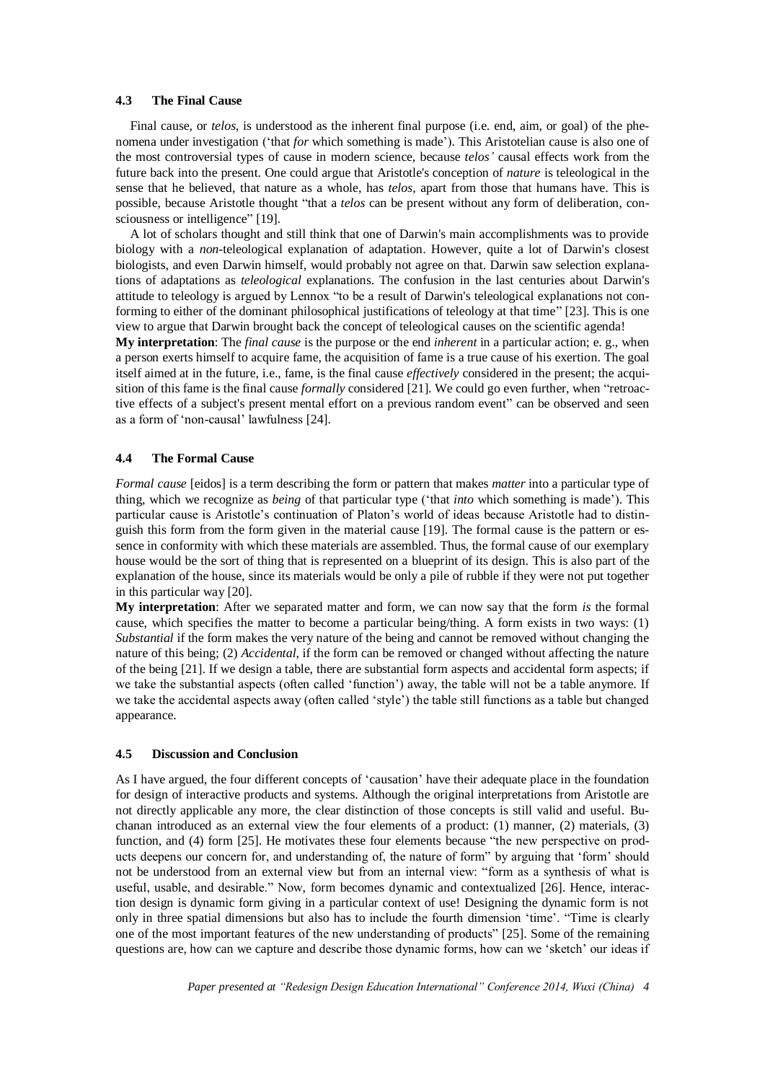#### **4.3 The Final Cause**

Final cause, or *telos*, is understood as the inherent final purpose (i.e. end, aim, or goal) of the phenomena under investigation ('that *for* which something is made'). This Aristotelian cause is also one of the most controversial types of cause in modern science, because *telos'* causal effects work from the future back into the present. One could argue that Aristotle's conception of *nature* is teleological in the sense that he believed, that nature as a whole, has *telos,* apart from those that humans have. This is possible, because Aristotle thought "that a *telos* can be present without any form of deliberation, consciousness or intelligence" [19].

A lot of scholars thought and still think that one of Darwin's main accomplishments was to provide biology with a *non*-teleological explanation of adaptation. However, quite a lot of Darwin's closest biologists, and even Darwin himself, would probably not agree on that. Darwin saw selection explanations of adaptations as *teleological* explanations. The confusion in the last centuries about Darwin's attitude to teleology is argued by Lennox "to be a result of Darwin's teleological explanations not conforming to either of the dominant philosophical justifications of teleology at that time" [23]. This is one view to argue that Darwin brought back the concept of teleological causes on the scientific agenda!

**My interpretation**: The *final cause* is the purpose or the end *inherent* in a particular action; e. g., when a person exerts himself to acquire fame, the acquisition of fame is a true cause of his exertion. The goal itself aimed at in the future, i.e., fame, is the final cause *effectively* considered in the present; the acquisition of this fame is the final cause *formally* considered [21]. We could go even further, when "retroactive effects of a subject's present mental effort on a previous random event" can be observed and seen as a form of 'non-causal' lawfulness [24].

### **4.4 The Formal Cause**

*Formal cause* [eidos] is a term describing the form or pattern that makes *matter* into a particular type of thing, which we recognize as *being* of that particular type ('that *into* which something is made'). This particular cause is Aristotle's continuation of Platon's world of ideas because Aristotle had to distinguish this form from the form given in the material cause [19]. The formal cause is the pattern or essence in conformity with which these materials are assembled. Thus, the formal cause of our exemplary house would be the sort of thing that is represented on a blueprint of its design. This is also part of the explanation of the house, since its materials would be only a pile of rubble if they were not put together in this particular way [20].

**My interpretation**: After we separated matter and form, we can now say that the form *is* the formal cause, which specifies the matter to become a particular being/thing. A form exists in two ways: (1) *Substantial* if the form makes the very nature of the being and cannot be removed without changing the nature of this being; (2) *Accidental*, if the form can be removed or changed without affecting the nature of the being [21]. If we design a table, there are substantial form aspects and accidental form aspects; if we take the substantial aspects (often called 'function') away, the table will not be a table anymore. If we take the accidental aspects away (often called 'style') the table still functions as a table but changed appearance.

### **4.5 Discussion and Conclusion**

As I have argued, the four different concepts of 'causation' have their adequate place in the foundation for design of interactive products and systems. Although the original interpretations from Aristotle are not directly applicable any more, the clear distinction of those concepts is still valid and useful. Buchanan introduced as an external view the four elements of a product: (1) manner, (2) materials, (3) function, and (4) form [25]. He motivates these four elements because "the new perspective on products deepens our concern for, and understanding of, the nature of form" by arguing that 'form' should not be understood from an external view but from an internal view: "form as a synthesis of what is useful, usable, and desirable." Now, form becomes dynamic and contextualized [26]. Hence, interaction design is dynamic form giving in a particular context of use! Designing the dynamic form is not only in three spatial dimensions but also has to include the fourth dimension 'time'. "Time is clearly one of the most important features of the new understanding of products" [25]. Some of the remaining questions are, how can we capture and describe those dynamic forms, how can we 'sketch' our ideas if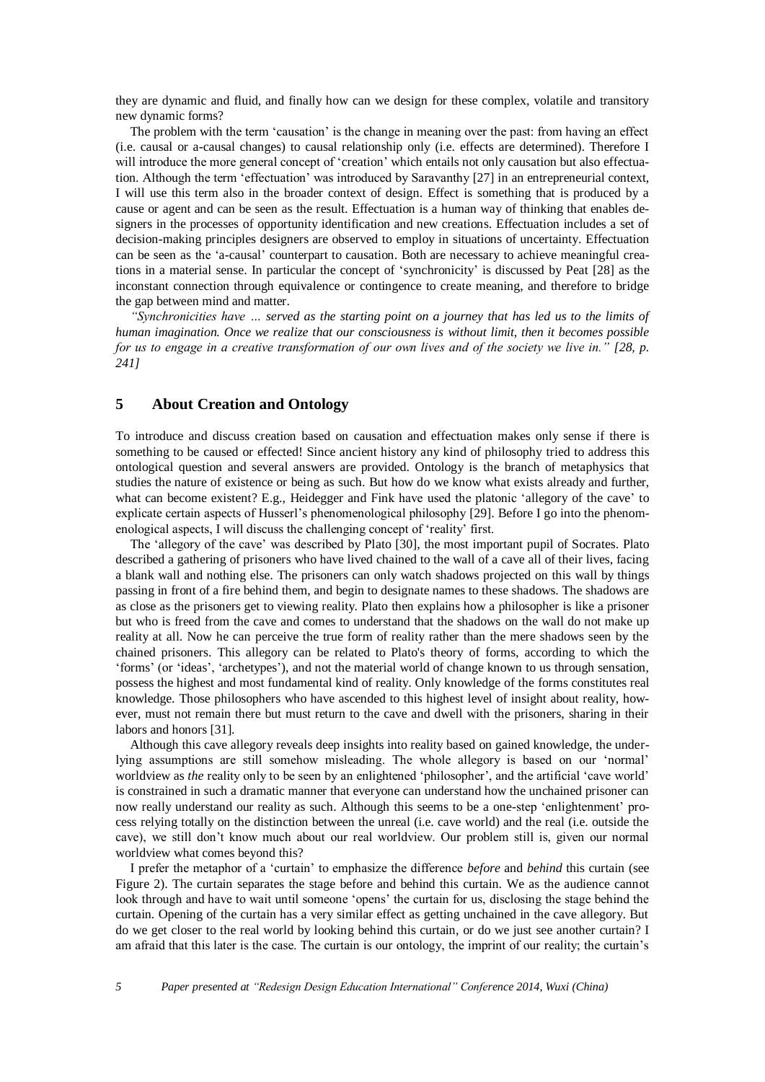they are dynamic and fluid, and finally how can we design for these complex, volatile and transitory new dynamic forms?

The problem with the term 'causation' is the change in meaning over the past: from having an effect (i.e. causal or a-causal changes) to causal relationship only (i.e. effects are determined). Therefore I will introduce the more general concept of 'creation' which entails not only causation but also effectuation. Although the term 'effectuation' was introduced by Saravanthy [27] in an entrepreneurial context, I will use this term also in the broader context of design. Effect is something that is produced by a cause or agent and can be seen as the result. Effectuation is a human way of thinking that enables designers in the processes of opportunity identification and new creations. Effectuation includes a set of decision-making principles designers are observed to employ in situations of uncertainty. Effectuation can be seen as the 'a-causal' counterpart to causation. Both are necessary to achieve meaningful creations in a material sense. In particular the concept of 'synchronicity' is discussed by Peat [28] as the inconstant connection through equivalence or contingence to create meaning, and therefore to bridge the gap between mind and matter.

*"Synchronicities have … served as the starting point on a journey that has led us to the limits of human imagination. Once we realize that our consciousness is without limit, then it becomes possible for us to engage in a creative transformation of our own lives and of the society we live in." [28, p. 241]*

# **5 About Creation and Ontology**

To introduce and discuss creation based on causation and effectuation makes only sense if there is something to be caused or effected! Since ancient history any kind of philosophy tried to address this ontological question and several answers are provided. Ontology is the branch of metaphysics that studies the nature of existence or being as such. But how do we know what exists already and further, what can become existent? E.g., Heidegger and Fink have used the platonic 'allegory of the cave' to explicate certain aspects of Husserl's phenomenological philosophy [29]. Before I go into the phenomenological aspects, I will discuss the challenging concept of 'reality' first.

The 'allegory of the cave' was described by Plato [30], the most important pupil of Socrates. Plato described a gathering of prisoners who have lived chained to the wall of a cave all of their lives, facing a blank wall and nothing else. The prisoners can only watch shadows projected on this wall by things passing in front of a fire behind them, and begin to designate names to these shadows. The shadows are as close as the prisoners get to viewing reality. Plato then explains how a philosopher is like a prisoner but who is freed from the cave and comes to understand that the shadows on the wall do not make up reality at all. Now he can perceive the true form of reality rather than the mere shadows seen by the chained prisoners. This allegory can be related to Plato's theory of forms, according to which the 'forms' (or 'ideas', 'archetypes'), and not the material world of change known to us through sensation, possess the highest and most fundamental kind of reality. Only knowledge of the forms constitutes real knowledge. Those philosophers who have ascended to this highest level of insight about reality, however, must not remain there but must return to the cave and dwell with the prisoners, sharing in their labors and honors [31].

Although this cave allegory reveals deep insights into reality based on gained knowledge, the underlying assumptions are still somehow misleading. The whole allegory is based on our 'normal' worldview as *the* reality only to be seen by an enlightened 'philosopher', and the artificial 'cave world' is constrained in such a dramatic manner that everyone can understand how the unchained prisoner can now really understand our reality as such. Although this seems to be a one-step 'enlightenment' process relying totally on the distinction between the unreal (i.e. cave world) and the real (i.e. outside the cave), we still don't know much about our real worldview. Our problem still is, given our normal worldview what comes beyond this?

I prefer the metaphor of a 'curtain' to emphasize the difference *before* and *behind* this curtain (see [Figure 2\)](#page-5-0). The curtain separates the stage before and behind this curtain. We as the audience cannot look through and have to wait until someone 'opens' the curtain for us, disclosing the stage behind the curtain. Opening of the curtain has a very similar effect as getting unchained in the cave allegory. But do we get closer to the real world by looking behind this curtain, or do we just see another curtain? I am afraid that this later is the case. The curtain is our ontology, the imprint of our reality; the curtain's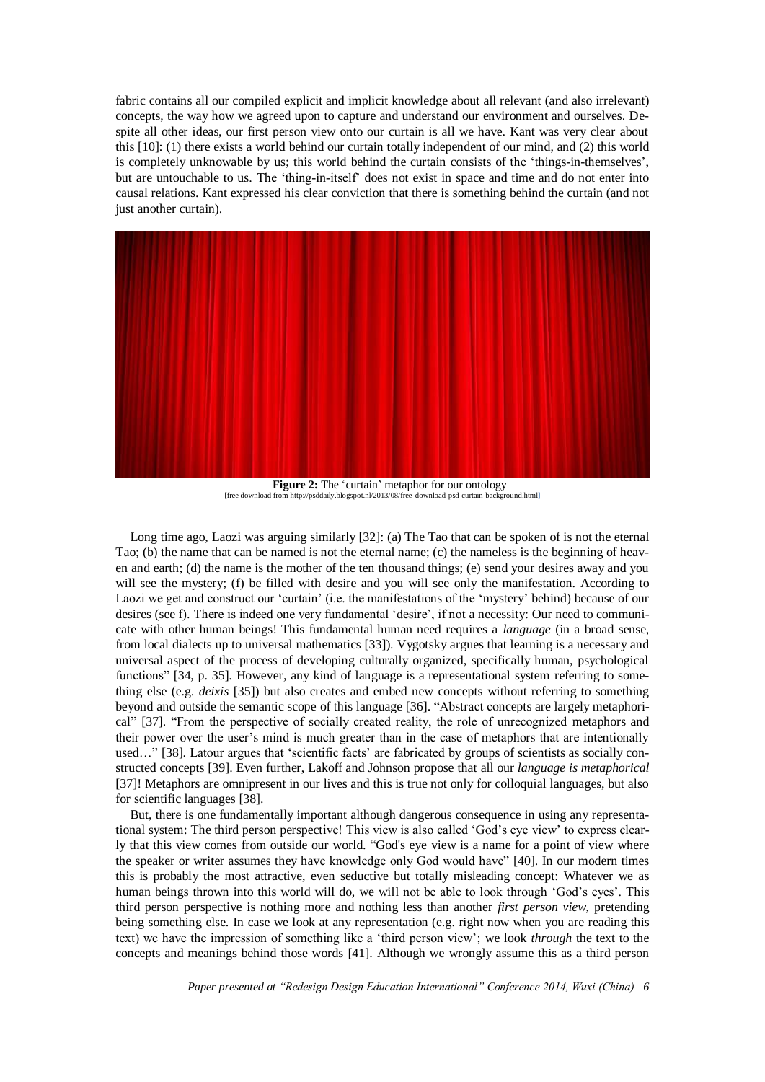fabric contains all our compiled explicit and implicit knowledge about all relevant (and also irrelevant) concepts, the way how we agreed upon to capture and understand our environment and ourselves. Despite all other ideas, our first person view onto our curtain is all we have. Kant was very clear about this [10]: (1) there exists a world behind our curtain totally independent of our mind, and (2) this world is completely unknowable by us; this world behind the curtain consists of the 'things-in-themselves', but are untouchable to us. The 'thing-in-itself' does not exist in space and time and do not enter into causal relations. Kant expressed his clear conviction that there is something behind the curtain (and not just another curtain).



**Figure 2:** The 'curtain' metaphor for our ontology [free download from [http://psddaily.blogspot.nl/2013/08/free-download-psd-curtain-background.html\]](http://psddaily.blogspot.nl/2013/08/free-download-psd-curtain-background.html)

<span id="page-5-0"></span>Long time ago, Laozi was arguing similarly [32]: (a) The Tao that can be spoken of is not the eternal Tao; (b) the name that can be named is not the eternal name; (c) the nameless is the beginning of heaven and earth; (d) the name is the mother of the ten thousand things; (e) send your desires away and you will see the mystery; (f) be filled with desire and you will see only the manifestation. According to Laozi we get and construct our 'curtain' (i.e. the manifestations of the 'mystery' behind) because of our desires (see f). There is indeed one very fundamental 'desire', if not a necessity: Our need to communicate with other human beings! This fundamental human need requires a *language* (in a broad sense, from local dialects up to universal mathematics [33]). Vygotsky argues that learning is a necessary and universal aspect of the process of developing culturally organized, specifically human, psychological functions" [34, p. 35]. However, any kind of language is a representational system referring to something else (e.g. *deixis* [35]) but also creates and embed new concepts without referring to something beyond and outside the semantic scope of this language [36]. "Abstract concepts are largely metaphorical" [37]. "From the perspective of socially created reality, the role of unrecognized metaphors and their power over the user's mind is much greater than in the case of metaphors that are intentionally used…" [38]. Latour argues that 'scientific facts' are fabricated by groups of scientists as socially constructed concepts [39]. Even further, Lakoff and Johnson propose that all our *language is metaphorical* [37]! Metaphors are omnipresent in our lives and this is true not only for colloquial languages, but also for scientific languages [38].

But, there is one fundamentally important although dangerous consequence in using any representational system: The third person perspective! This view is also called 'God's eye view' to express clearly that this view comes from outside our world. "God's eye view is a name for a point of view where the speaker or writer assumes they have knowledge only God would have" [40]. In our modern times this is probably the most attractive, even seductive but totally misleading concept: Whatever we as human beings thrown into this world will do, we will not be able to look through 'God's eyes'. This third person perspective is nothing more and nothing less than another *first person view*, pretending being something else. In case we look at any representation (e.g. right now when you are reading this text) we have the impression of something like a 'third person view'; we look *through* the text to the concepts and meanings behind those words [41]. Although we wrongly assume this as a third person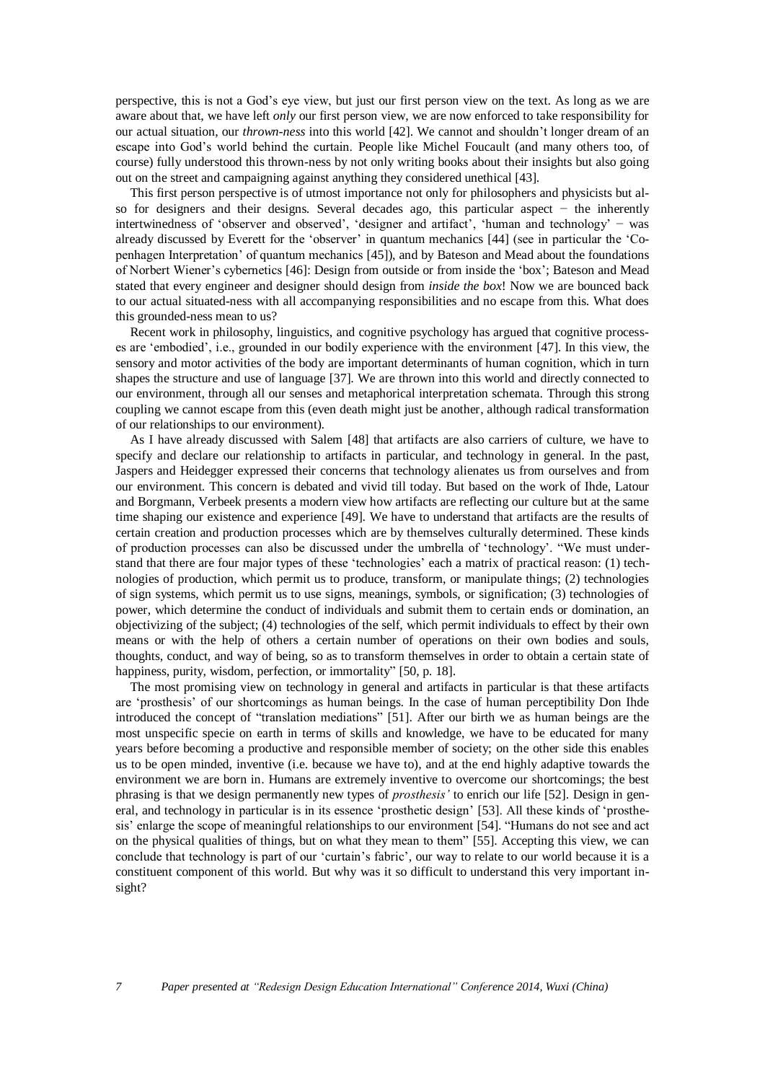perspective, this is not a God's eye view, but just our first person view on the text. As long as we are aware about that, we have left *only* our first person view, we are now enforced to take responsibility for our actual situation, our *thrown-ness* into this world [42]. We cannot and shouldn't longer dream of an escape into God's world behind the curtain. People like Michel Foucault (and many others too, of course) fully understood this thrown-ness by not only writing books about their insights but also going out on the street and campaigning against anything they considered unethical [43].

This first person perspective is of utmost importance not only for philosophers and physicists but also for designers and their designs. Several decades ago, this particular aspect − the inherently intertwinedness of 'observer and observed', 'designer and artifact', 'human and technology' − was already discussed by Everett for the 'observer' in quantum mechanics [44] (see in particular the 'Copenhagen Interpretation' of quantum mechanics [45]), and by Bateson and Mead about the foundations of Norbert Wiener's cybernetics [46]: Design from outside or from inside the 'box'; Bateson and Mead stated that every engineer and designer should design from *inside the box*! Now we are bounced back to our actual situated-ness with all accompanying responsibilities and no escape from this. What does this grounded-ness mean to us?

Recent work in philosophy, linguistics, and cognitive psychology has argued that cognitive processes are 'embodied', i.e., grounded in our bodily experience with the environment [47]. In this view, the sensory and motor activities of the body are important determinants of human cognition, which in turn shapes the structure and use of language [37]. We are thrown into this world and directly connected to our environment, through all our senses and metaphorical interpretation schemata. Through this strong coupling we cannot escape from this (even death might just be another, although radical transformation of our relationships to our environment).

As I have already discussed with Salem [48] that artifacts are also carriers of culture, we have to specify and declare our relationship to artifacts in particular, and technology in general. In the past, Jaspers and Heidegger expressed their concerns that technology alienates us from ourselves and from our environment. This concern is debated and vivid till today. But based on the work of Ihde, Latour and Borgmann, Verbeek presents a modern view how artifacts are reflecting our culture but at the same time shaping our existence and experience [49]. We have to understand that artifacts are the results of certain creation and production processes which are by themselves culturally determined. These kinds of production processes can also be discussed under the umbrella of 'technology'. "We must understand that there are four major types of these 'technologies' each a matrix of practical reason: (1) technologies of production, which permit us to produce, transform, or manipulate things; (2) technologies of sign systems, which permit us to use signs, meanings, symbols, or signification; (3) technologies of power, which determine the conduct of individuals and submit them to certain ends or domination, an objectivizing of the subject; (4) technologies of the self, which permit individuals to effect by their own means or with the help of others a certain number of operations on their own bodies and souls, thoughts, conduct, and way of being, so as to transform themselves in order to obtain a certain state of happiness, purity, wisdom, perfection, or immortality" [50, p. 18].

The most promising view on technology in general and artifacts in particular is that these artifacts are 'prosthesis' of our shortcomings as human beings. In the case of human perceptibility Don Ihde introduced the concept of "translation mediations" [51]. After our birth we as human beings are the most unspecific specie on earth in terms of skills and knowledge, we have to be educated for many years before becoming a productive and responsible member of society; on the other side this enables us to be open minded, inventive (i.e. because we have to), and at the end highly adaptive towards the environment we are born in. Humans are extremely inventive to overcome our shortcomings; the best phrasing is that we design permanently new types of *prosthesis'* to enrich our life [52]. Design in general, and technology in particular is in its essence 'prosthetic design' [53]. All these kinds of 'prosthesis' enlarge the scope of meaningful relationships to our environment [54]. "Humans do not see and act on the physical qualities of things, but on what they mean to them" [55]. Accepting this view, we can conclude that technology is part of our 'curtain's fabric', our way to relate to our world because it is a constituent component of this world. But why was it so difficult to understand this very important insight?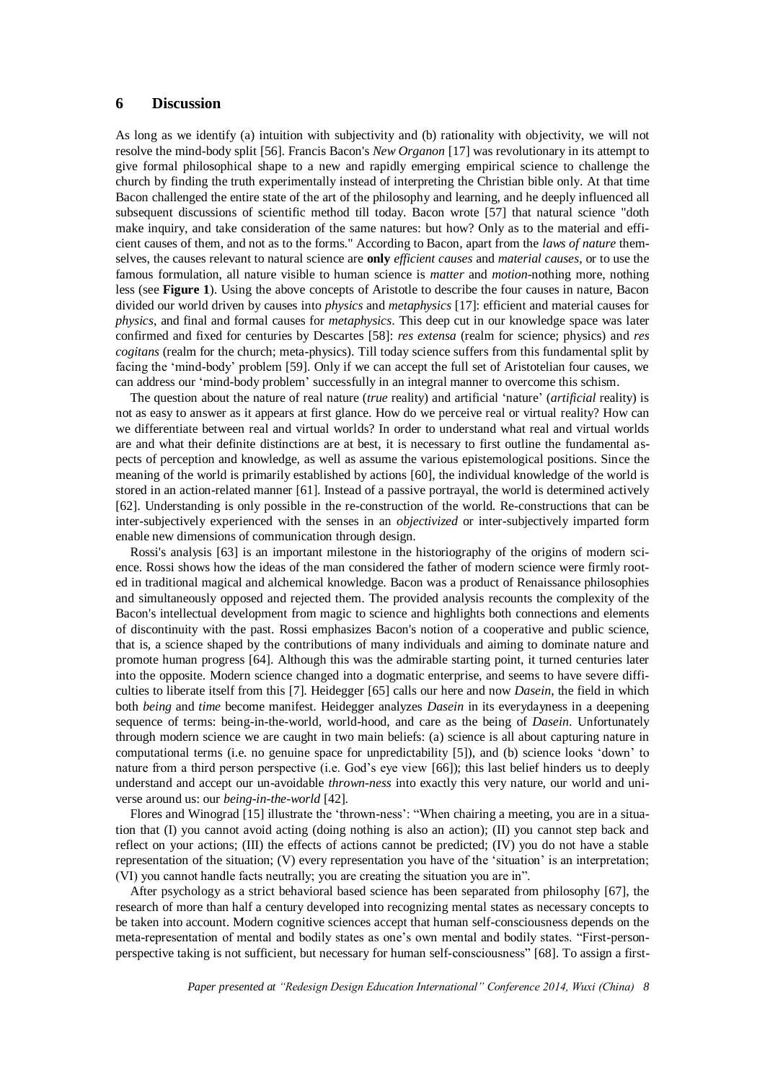### **6 Discussion**

As long as we identify (a) intuition with subjectivity and (b) rationality with objectivity, we will not resolve the mind-body split [56]. Francis Bacon's *New Organon* [17] was revolutionary in its attempt to give formal philosophical shape to a new and rapidly emerging empirical science to challenge the church by finding the truth experimentally instead of interpreting the Christian bible only. At that time Bacon challenged the entire state of the art of the philosophy and learning, and he deeply influenced all subsequent discussions of scientific method till today. Bacon wrote [57] that natural science "doth make inquiry, and take consideration of the same natures: but how? Only as to the material and efficient causes of them, and not as to the forms." According to Bacon, apart from the *laws of nature* themselves, the causes relevant to natural science are **only** *efficient causes* and *material causes*, or to use the famous formulation, all nature visible to human science is *matter* and *motion*-nothing more, nothing less (see **[Figure](#page-1-0) 1**). Using the above concepts of Aristotle to describe the four causes in nature, Bacon divided our world driven by causes into *physics* and *metaphysics* [17]: efficient and material causes for *physics*, and final and formal causes for *metaphysics*. This deep cut in our knowledge space was later confirmed and fixed for centuries by Descartes [58]: *res extensa* (realm for science; physics) and *res cogitans* (realm for the church; meta-physics). Till today science suffers from this fundamental split by facing the 'mind-body' problem [59]. Only if we can accept the full set of Aristotelian four causes, we can address our 'mind-body problem' successfully in an integral manner to overcome this schism.

The question about the nature of real nature (*true* reality) and artificial 'nature' (*artificial* reality) is not as easy to answer as it appears at first glance. How do we perceive real or virtual reality? How can we differentiate between real and virtual worlds? In order to understand what real and virtual worlds are and what their definite distinctions are at best, it is necessary to first outline the fundamental aspects of perception and knowledge, as well as assume the various epistemological positions. Since the meaning of the world is primarily established by actions [60], the individual knowledge of the world is stored in an action-related manner [61]. Instead of a passive portrayal, the world is determined actively [62]. Understanding is only possible in the re-construction of the world. Re-constructions that can be inter-subjectively experienced with the senses in an *objectivized* or inter-subjectively imparted form enable new dimensions of communication through design.

Rossi's analysis [63] is an important milestone in the historiography of the origins of modern science. Rossi shows how the ideas of the man considered the father of modern science were firmly rooted in traditional magical and alchemical knowledge. Bacon was a product of Renaissance philosophies and simultaneously opposed and rejected them. The provided analysis recounts the complexity of the Bacon's intellectual development from magic to science and highlights both connections and elements of discontinuity with the past. Rossi emphasizes Bacon's notion of a cooperative and public science, that is, a science shaped by the contributions of many individuals and aiming to dominate nature and promote human progress [64]. Although this was the admirable starting point, it turned centuries later into the opposite. Modern science changed into a dogmatic enterprise, and seems to have severe difficulties to liberate itself from this [7]. Heidegger [65] calls our here and now *Dasein*, the field in which both *being* and *time* become manifest. Heidegger analyzes *Dasein* in its everydayness in a deepening sequence of terms: being-in-the-world, world-hood, and care as the being of *Dasein*. Unfortunately through modern science we are caught in two main beliefs: (a) science is all about capturing nature in computational terms (i.e. no genuine space for unpredictability [5]), and (b) science looks 'down' to nature from a third person perspective (i.e. God's eye view [66]); this last belief hinders us to deeply understand and accept our un-avoidable *thrown-ness* into exactly this very nature, our world and universe around us: our *being-in-the-world* [42].

Flores and Winograd [15] illustrate the 'thrown-ness': "When chairing a meeting, you are in a situation that (I) you cannot avoid acting (doing nothing is also an action); (II) you cannot step back and reflect on your actions; (III) the effects of actions cannot be predicted; (IV) you do not have a stable representation of the situation; (V) every representation you have of the 'situation' is an interpretation; (VI) you cannot handle facts neutrally; you are creating the situation you are in".

After psychology as a strict behavioral based science has been separated from philosophy [67], the research of more than half a century developed into recognizing mental states as necessary concepts to be taken into account. Modern cognitive sciences accept that human self-consciousness depends on the meta-representation of mental and bodily states as one's own mental and bodily states. "First-personperspective taking is not sufficient, but necessary for human self-consciousness" [68]. To assign a first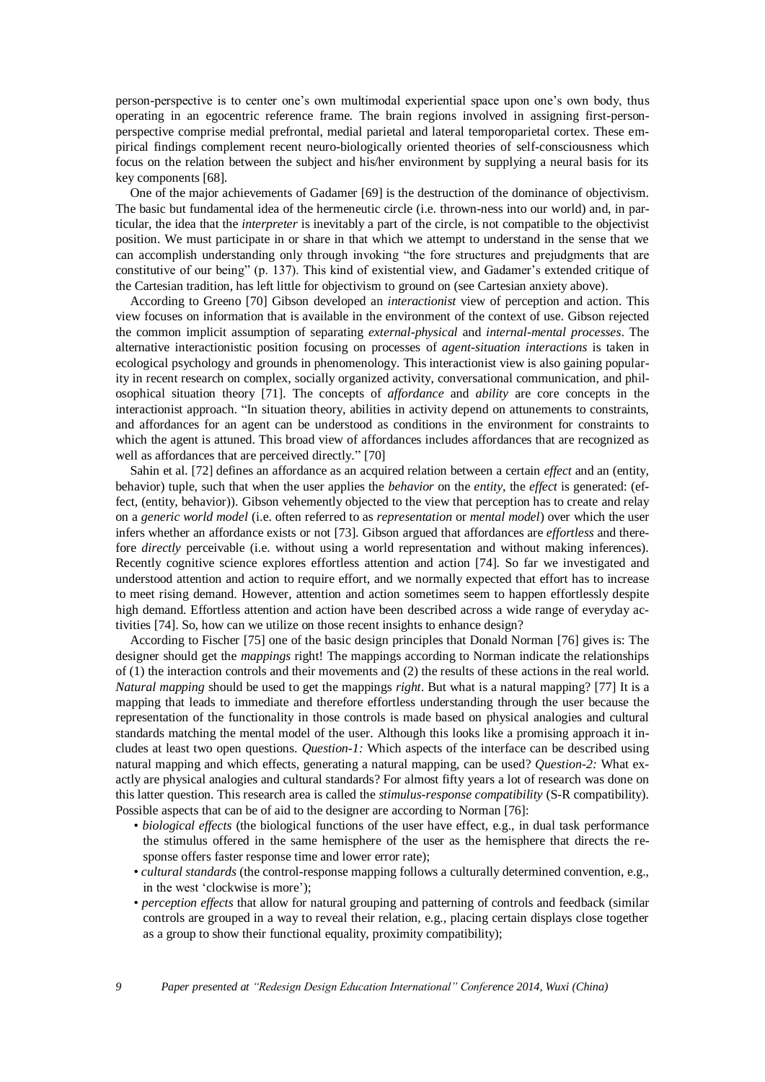person-perspective is to center one's own multimodal experiential space upon one's own body, thus operating in an egocentric reference frame. The brain regions involved in assigning first-personperspective comprise medial prefrontal, medial parietal and lateral temporoparietal cortex. These empirical findings complement recent neuro-biologically oriented theories of self-consciousness which focus on the relation between the subject and his/her environment by supplying a neural basis for its key components [68].

One of the major achievements of Gadamer [69] is the destruction of the dominance of objectivism. The basic but fundamental idea of the hermeneutic circle (i.e. thrown-ness into our world) and, in particular, the idea that the *interpreter* is inevitably a part of the circle, is not compatible to the objectivist position. We must participate in or share in that which we attempt to understand in the sense that we can accomplish understanding only through invoking "the fore structures and prejudgments that are constitutive of our being" (p. 137). This kind of existential view, and Gadamer's extended critique of the Cartesian tradition, has left little for objectivism to ground on (see Cartesian anxiety above).

According to Greeno [70] Gibson developed an *interactionist* view of perception and action. This view focuses on information that is available in the environment of the context of use. Gibson rejected the common implicit assumption of separating *external-physical* and *internal-mental processes*. The alternative interactionistic position focusing on processes of *agent-situation interactions* is taken in ecological psychology and grounds in phenomenology. This interactionist view is also gaining popularity in recent research on complex, socially organized activity, conversational communication, and philosophical situation theory [71]. The concepts of *affordance* and *ability* are core concepts in the interactionist approach. "In situation theory, abilities in activity depend on attunements to constraints, and affordances for an agent can be understood as conditions in the environment for constraints to which the agent is attuned. This broad view of affordances includes affordances that are recognized as well as affordances that are perceived directly." [70]

Sahin et al. [72] defines an affordance as an acquired relation between a certain *effect* and an (entity, behavior) tuple, such that when the user applies the *behavior* on the *entity*, the *effect* is generated: (effect, (entity, behavior)). Gibson vehemently objected to the view that perception has to create and relay on a *generic world model* (i.e. often referred to as *representation* or *mental model*) over which the user infers whether an affordance exists or not [73]. Gibson argued that affordances are *effortless* and therefore *directly* perceivable (i.e. without using a world representation and without making inferences). Recently cognitive science explores effortless attention and action [74]. So far we investigated and understood attention and action to require effort, and we normally expected that effort has to increase to meet rising demand. However, attention and action sometimes seem to happen effortlessly despite high demand. Effortless attention and action have been described across a wide range of everyday activities [74]. So, how can we utilize on those recent insights to enhance design?

According to Fischer [75] one of the basic design principles that Donald Norman [76] gives is: The designer should get the *mappings* right! The mappings according to Norman indicate the relationships of (1) the interaction controls and their movements and (2) the results of these actions in the real world. *Natural mapping* should be used to get the mappings *right*. But what is a natural mapping? [77] It is a mapping that leads to immediate and therefore effortless understanding through the user because the representation of the functionality in those controls is made based on physical analogies and cultural standards matching the mental model of the user. Although this looks like a promising approach it includes at least two open questions. *Question-1:* Which aspects of the interface can be described using natural mapping and which effects, generating a natural mapping, can be used? *Question-2:* What exactly are physical analogies and cultural standards? For almost fifty years a lot of research was done on this latter question. This research area is called the *stimulus-response compatibility* (S-R compatibility). Possible aspects that can be of aid to the designer are according to Norman [76]:

- *biological effects* (the biological functions of the user have effect, e.g., in dual task performance the stimulus offered in the same hemisphere of the user as the hemisphere that directs the response offers faster response time and lower error rate);
- *cultural standards* (the control-response mapping follows a culturally determined convention, e.g., in the west 'clockwise is more');
- *perception effects* that allow for natural grouping and patterning of controls and feedback (similar controls are grouped in a way to reveal their relation, e.g., placing certain displays close together as a group to show their functional equality, proximity compatibility);

*9 Paper presented at "Redesign Design Education International" Conference 2014, Wuxi (China)*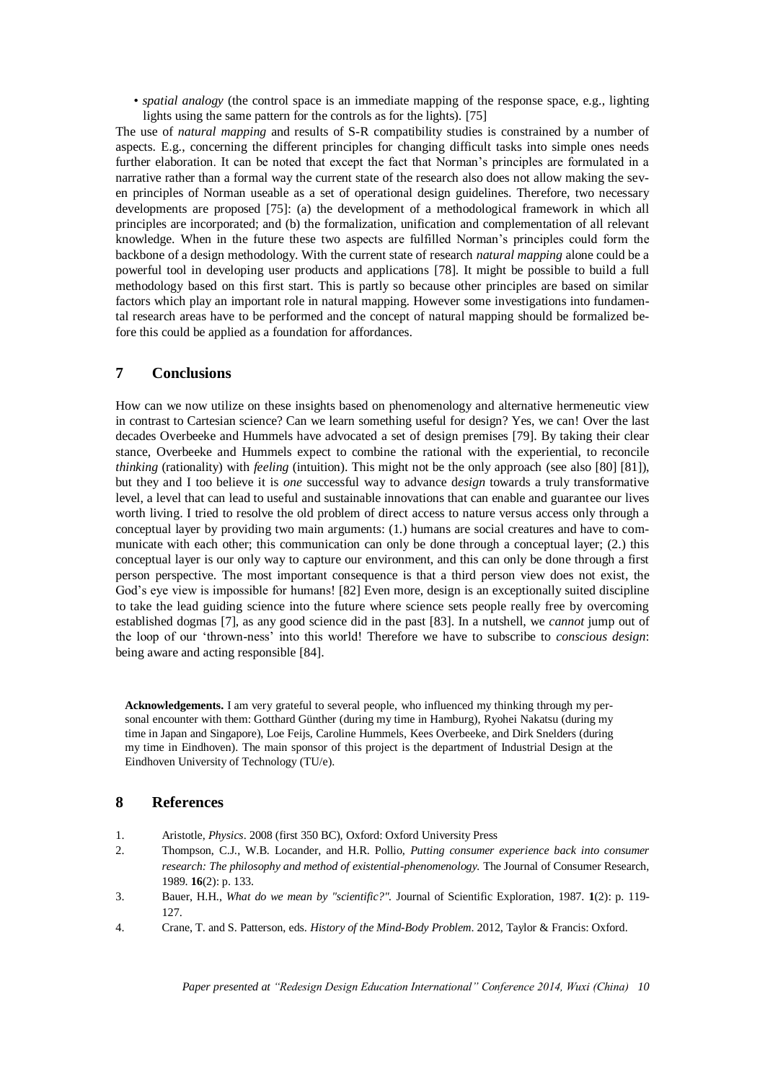• *spatial analogy* (the control space is an immediate mapping of the response space, e.g., lighting lights using the same pattern for the controls as for the lights). [75]

The use of *natural mapping* and results of S-R compatibility studies is constrained by a number of aspects. E.g., concerning the different principles for changing difficult tasks into simple ones needs further elaboration. It can be noted that except the fact that Norman's principles are formulated in a narrative rather than a formal way the current state of the research also does not allow making the seven principles of Norman useable as a set of operational design guidelines. Therefore, two necessary developments are proposed [75]: (a) the development of a methodological framework in which all principles are incorporated; and (b) the formalization, unification and complementation of all relevant knowledge. When in the future these two aspects are fulfilled Norman's principles could form the backbone of a design methodology. With the current state of research *natural mapping* alone could be a powerful tool in developing user products and applications [78]. It might be possible to build a full methodology based on this first start. This is partly so because other principles are based on similar factors which play an important role in natural mapping. However some investigations into fundamental research areas have to be performed and the concept of natural mapping should be formalized before this could be applied as a foundation for affordances.

# **7 Conclusions**

How can we now utilize on these insights based on phenomenology and alternative hermeneutic view in contrast to Cartesian science? Can we learn something useful for design? Yes, we can! Over the last decades Overbeeke and Hummels have advocated a set of design premises [79]. By taking their clear stance, Overbeeke and Hummels expect to combine the rational with the experiential, to reconcile *thinking* (rationality) with *feeling* (intuition). This might not be the only approach (see also [80] [81]), but they and I too believe it is *one* successful way to advance d*esign* towards a truly transformative level, a level that can lead to useful and sustainable innovations that can enable and guarantee our lives worth living. I tried to resolve the old problem of direct access to nature versus access only through a conceptual layer by providing two main arguments: (1.) humans are social creatures and have to communicate with each other; this communication can only be done through a conceptual layer; (2.) this conceptual layer is our only way to capture our environment, and this can only be done through a first person perspective. The most important consequence is that a third person view does not exist, the God's eye view is impossible for humans! [82] Even more, design is an exceptionally suited discipline to take the lead guiding science into the future where science sets people really free by overcoming established dogmas [7], as any good science did in the past [83]. In a nutshell, we *cannot* jump out of the loop of our 'thrown-ness' into this world! Therefore we have to subscribe to *conscious design*: being aware and acting responsible [84].

**Acknowledgements.** I am very grateful to several people, who influenced my thinking through my personal encounter with them: Gotthard Günther (during my time in Hamburg), Ryohei Nakatsu (during my time in Japan and Singapore), Loe Feijs, Caroline Hummels, Kees Overbeeke, and Dirk Snelders (during my time in Eindhoven). The main sponsor of this project is the department of Industrial Design at the Eindhoven University of Technology (TU/e).

### **8 References**

- 1. Aristotle, *Physics*. 2008 (first 350 BC), Oxford: Oxford University Press
- 2. Thompson, C.J., W.B. Locander, and H.R. Pollio, *Putting consumer experience back into consumer research: The philosophy and method of existential-phenomenology.* The Journal of Consumer Research, 1989. **16**(2): p. 133.
- 3. Bauer, H.H., *What do we mean by "scientific?".* Journal of Scientific Exploration, 1987. **1**(2): p. 119- 127.
- 4. Crane, T. and S. Patterson, eds. *History of the Mind-Body Problem*. 2012, Taylor & Francis: Oxford.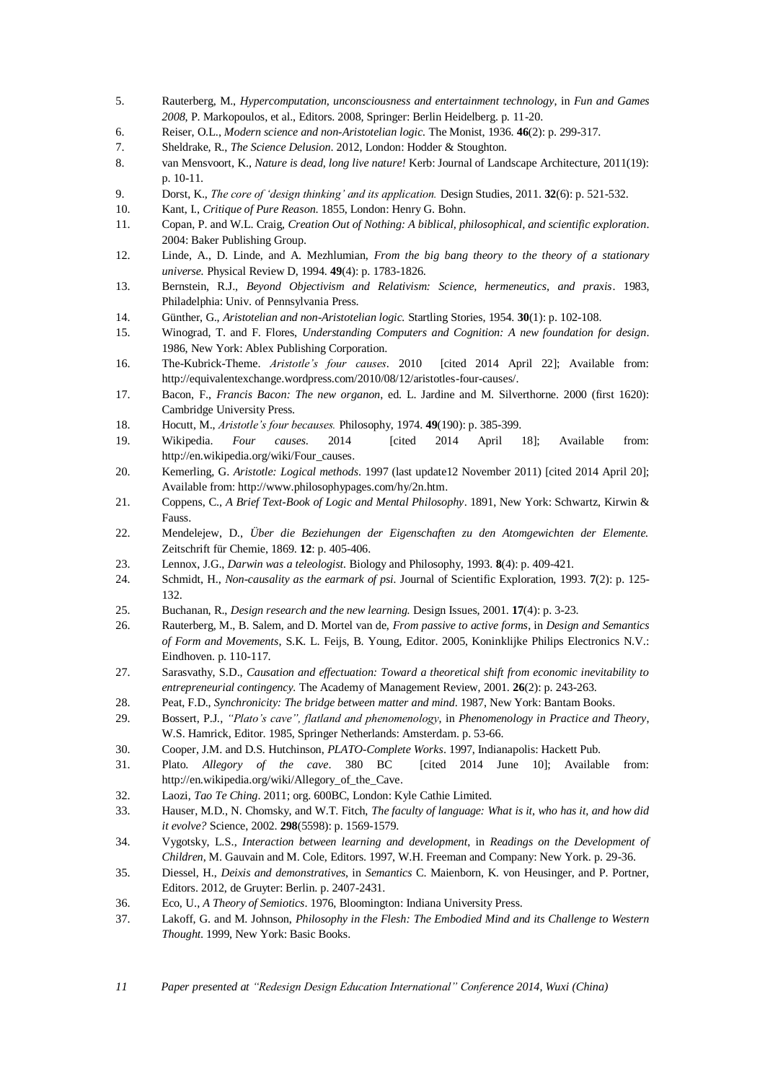- 5. Rauterberg, M., *Hypercomputation, unconsciousness and entertainment technology*, in *Fun and Games 2008*, P. Markopoulos, et al., Editors. 2008, Springer: Berlin Heidelberg. p. 11-20.
- 6. Reiser, O.L., *Modern science and non-Aristotelian logic.* The Monist, 1936. **46**(2): p. 299-317.
- 7. Sheldrake, R., *The Science Delusion*. 2012, London: Hodder & Stoughton.
- 8. van Mensvoort, K., *Nature is dead, long live nature!* Kerb: Journal of Landscape Architecture, 2011(19): p. 10-11.
- 9. Dorst, K., *The core of 'design thinking' and its application.* Design Studies, 2011. **32**(6): p. 521-532.
- 10. Kant, I., *Critique of Pure Reason*. 1855, London: Henry G. Bohn.
- 11. Copan, P. and W.L. Craig, *Creation Out of Nothing: A biblical, philosophical, and scientific exploration*. 2004: Baker Publishing Group.
- 12. Linde, A., D. Linde, and A. Mezhlumian, *From the big bang theory to the theory of a stationary universe.* Physical Review D, 1994. **49**(4): p. 1783-1826.
- 13. Bernstein, R.J., *Beyond Objectivism and Relativism: Science, hermeneutics, and praxis*. 1983, Philadelphia: Univ. of Pennsylvania Press.
- 14. Günther, G., *Aristotelian and non-Aristotelian logic.* Startling Stories, 1954. **30**(1): p. 102-108.
- 15. Winograd, T. and F. Flores, *Understanding Computers and Cognition: A new foundation for design*. 1986, New York: Ablex Publishing Corporation.
- 16. The-Kubrick-Theme. *Aristotle's four causes*. 2010 [cited 2014 April 22]; Available from: [http://equivalentexchange.wordpress.com/2010/08/12/aristotles-four-causes/.](http://equivalentexchange.wordpress.com/2010/08/12/aristotles-four-causes/)
- 17. Bacon, F., *Francis Bacon: The new organon*, ed. L. Jardine and M. Silverthorne. 2000 (first 1620): Cambridge University Press.
- 18. Hocutt, M., *Aristotle's four becauses.* Philosophy, 1974. **49**(190): p. 385-399.
- 19. Wikipedia. *Four causes*. 2014 [cited 2014 April 18]; Available from: [http://en.wikipedia.org/wiki/Four\\_causes.](http://en.wikipedia.org/wiki/Four_causes)
- 20. Kemerling, G. *Aristotle: Logical methods*. 1997 (last update12 November 2011) [cited 2014 April 20]; Available from[: http://www.philosophypages.com/hy/2n.htm.](http://www.philosophypages.com/hy/2n.htm)
- 21. Coppens, C., *A Brief Text-Book of Logic and Mental Philosophy*. 1891, New York: Schwartz, Kirwin & Fauss.
- 22. Mendelejew, D., *Über die Beziehungen der Eigenschaften zu den Atomgewichten der Elemente.* Zeitschrift für Chemie, 1869. **12**: p. 405-406.
- 23. Lennox, J.G., *Darwin was a teleologist.* Biology and Philosophy, 1993. **8**(4): p. 409-421.
- 24. Schmidt, H., *Non-causality as the earmark of psi.* Journal of Scientific Exploration, 1993. **7**(2): p. 125- 132.
- 25. Buchanan, R., *Design research and the new learning.* Design Issues, 2001. **17**(4): p. 3-23.
- 26. Rauterberg, M., B. Salem, and D. Mortel van de, *From passive to active forms*, in *Design and Semantics of Form and Movements*, S.K. L. Feijs, B. Young, Editor. 2005, Koninklijke Philips Electronics N.V.: Eindhoven. p. 110-117.
- 27. Sarasvathy, S.D., *Causation and effectuation: Toward a theoretical shift from economic inevitability to entrepreneurial contingency.* The Academy of Management Review, 2001. **26**(2): p. 243-263.
- 28. Peat, F.D., *Synchronicity: The bridge between matter and mind*. 1987, New York: Bantam Books.
- 29. Bossert, P.J., *"Plato's cave", flatland and phenomenology*, in *Phenomenology in Practice and Theory*, W.S. Hamrick, Editor. 1985, Springer Netherlands: Amsterdam. p. 53-66.
- 30. Cooper, J.M. and D.S. Hutchinson, *PLATO-Complete Works*. 1997, Indianapolis: Hackett Pub.
- 31. Plato. *Allegory of the cave*. 380 BC [cited 2014 June 10]; Available from: [http://en.wikipedia.org/wiki/Allegory\\_of\\_the\\_Cave.](http://en.wikipedia.org/wiki/Allegory_of_the_Cave)
- 32. Laozi, *Tao Te Ching*. 2011; org. 600BC, London: Kyle Cathie Limited.
- 33. Hauser, M.D., N. Chomsky, and W.T. Fitch, *The faculty of language: What is it, who has it, and how did it evolve?* Science, 2002. **298**(5598): p. 1569-1579.
- 34. Vygotsky, L.S., *Interaction between learning and development*, in *Readings on the Development of Children*, M. Gauvain and M. Cole, Editors. 1997, W.H. Freeman and Company: New York. p. 29-36.
- 35. Diessel, H., *Deixis and demonstratives*, in *Semantics* C. Maienborn, K. von Heusinger, and P. Portner, Editors. 2012, de Gruyter: Berlin. p. 2407-2431.
- 36. Eco, U., *A Theory of Semiotics*. 1976, Bloomington: Indiana University Press.
- 37. Lakoff, G. and M. Johnson, *Philosophy in the Flesh: The Embodied Mind and its Challenge to Western Thought*. 1999, New York: Basic Books.
- *11 Paper presented at "Redesign Design Education International" Conference 2014, Wuxi (China)*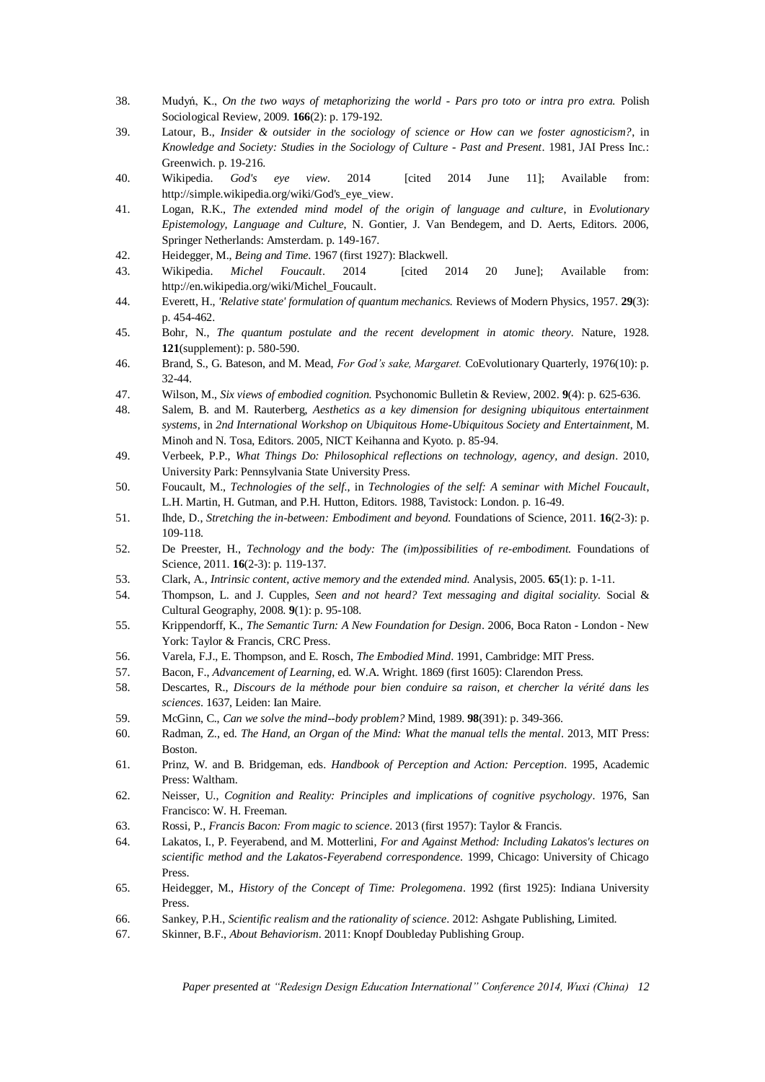- 38. Mudyń, K., *On the two ways of metaphorizing the world - Pars pro toto or intra pro extra.* Polish Sociological Review, 2009. **166**(2): p. 179-192.
- 39. Latour, B., *Insider & outsider in the sociology of science or How can we foster agnosticism?*, in *Knowledge and Society: Studies in the Sociology of Culture - Past and Present*. 1981, JAI Press Inc.: Greenwich. p. 19-216.
- 40. Wikipedia. *God's eye view*. 2014 [cited 2014 June 11]; Available from: http://simple.wikipedia.org/wiki/God's eye view.
- 41. Logan, R.K., *The extended mind model of the origin of language and culture*, in *Evolutionary Epistemology, Language and Culture*, N. Gontier, J. Van Bendegem, and D. Aerts, Editors. 2006, Springer Netherlands: Amsterdam. p. 149-167.
- 42. Heidegger, M., *Being and Time*. 1967 (first 1927): Blackwell.
- 43. Wikipedia. *Michel Foucault*. 2014 [cited 2014 20 June]; Available from: [http://en.wikipedia.org/wiki/Michel\\_Foucault.](http://en.wikipedia.org/wiki/Michel_Foucault)
- 44. Everett, H., *'Relative state' formulation of quantum mechanics.* Reviews of Modern Physics, 1957. **29**(3): p. 454-462.
- 45. Bohr, N., *The quantum postulate and the recent development in atomic theory.* Nature, 1928. **121**(supplement): p. 580-590.
- 46. Brand, S., G. Bateson, and M. Mead, *For God's sake, Margaret.* CoEvolutionary Quarterly, 1976(10): p. 32-44.
- 47. Wilson, M., *Six views of embodied cognition.* Psychonomic Bulletin & Review, 2002. **9**(4): p. 625-636.
- 48. Salem, B. and M. Rauterberg, *Aesthetics as a key dimension for designing ubiquitous entertainment systems*, in *2nd International Workshop on Ubiquitous Home-Ubiquitous Society and Entertainment*, M. Minoh and N. Tosa, Editors. 2005, NICT Keihanna and Kyoto. p. 85-94.
- 49. Verbeek, P.P., *What Things Do: Philosophical reflections on technology, agency, and design*. 2010, University Park: Pennsylvania State University Press.
- 50. Foucault, M., *Technologies of the self.*, in *Technologies of the self: A seminar with Michel Foucault*, L.H. Martin, H. Gutman, and P.H. Hutton, Editors. 1988, Tavistock: London. p. 16-49.
- 51. Ihde, D., *Stretching the in-between: Embodiment and beyond.* Foundations of Science, 2011. **16**(2-3): p. 109-118.
- 52. De Preester, H., *Technology and the body: The (im)possibilities of re-embodiment.* Foundations of Science, 2011. **16**(2-3): p. 119-137.
- 53. Clark, A., *Intrinsic content, active memory and the extended mind.* Analysis, 2005. **65**(1): p. 1-11.
- 54. Thompson, L. and J. Cupples, *Seen and not heard? Text messaging and digital sociality.* Social & Cultural Geography, 2008. **9**(1): p. 95-108.
- 55. Krippendorff, K., *The Semantic Turn: A New Foundation for Design*. 2006, Boca Raton London New York: Taylor & Francis, CRC Press.
- 56. Varela, F.J., E. Thompson, and E. Rosch, *The Embodied Mind*. 1991, Cambridge: MIT Press.
- 57. Bacon, F., *Advancement of Learning*, ed. W.A. Wright. 1869 (first 1605): Clarendon Press.
- 58. Descartes, R., *Discours de la méthode pour bien conduire sa raison, et chercher la vérité dans les sciences*. 1637, Leiden: Ian Maire.
- 59. McGinn, C., *Can we solve the mind--body problem?* Mind, 1989. **98**(391): p. 349-366.
- 60. Radman, Z., ed. *The Hand, an Organ of the Mind: What the manual tells the mental*. 2013, MIT Press: Boston.
- 61. Prinz, W. and B. Bridgeman, eds. *Handbook of Perception and Action: Perception*. 1995, Academic Press: Waltham.
- 62. Neisser, U., *Cognition and Reality: Principles and implications of cognitive psychology*. 1976, San Francisco: W. H. Freeman.
- 63. Rossi, P., *Francis Bacon: From magic to science*. 2013 (first 1957): Taylor & Francis.
- 64. Lakatos, I., P. Feyerabend, and M. Motterlini, *For and Against Method: Including Lakatos's lectures on scientific method and the Lakatos-Feyerabend correspondence*. 1999, Chicago: University of Chicago Press.
- 65. Heidegger, M., *History of the Concept of Time: Prolegomena*. 1992 (first 1925): Indiana University Press.
- 66. Sankey, P.H., *Scientific realism and the rationality of science*. 2012: Ashgate Publishing, Limited.
- 67. Skinner, B.F., *About Behaviorism*. 2011: Knopf Doubleday Publishing Group.